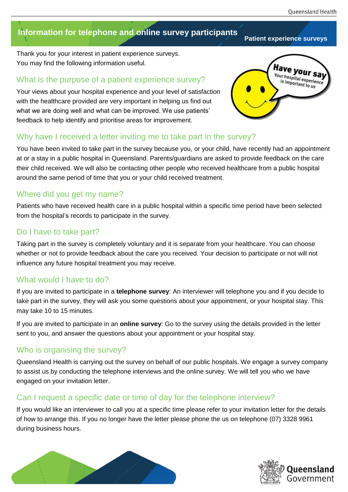# **Information for telephone and online survey participants**

Thank you for your interest in patient experience surveys. You may find the following information useful.

### What is the purpose of a patient experience survey?

Your views about your hospital experience and your level of satisfaction with the healthcare provided are very important in helping us find out what we are doing well and what can be improved. We use patients' feedback to help identify and prioritise areas for improvement.



### Why have I received a letter inviting me to take part in the survey?

You have been invited to take part in the survey because you, or your child, have recently had an appointment at or a stay in a public hospital in Queensland. Parents/guardians are asked to provide feedback on the care their child received. We will also be contacting other people who received healthcare from a public hospital around the same period of time that you or your child received treatment.

### Where did you get my name?

Patients who have received health care in a public hospital within a specific time period have been selected from the hospital's records to participate in the survey.

### Do I have to take part?

Taking part in the survey is completely voluntary and it is separate from your healthcare. You can choose whether or not to provide feedback about the care you received. Your decision to participate or not will not influence any future hospital treatment you may receive.

### What would I have to do?

If you are invited to participate in a **telephone survey**: An interviewer will telephone you and if you decide to take part in the survey, they will ask you some questions about your appointment, or your hospital stay. This may take 10 to 15 minutes.

If you are invited to participate in an **online survey**: Go to the survey using the details provided in the letter sent to you, and answer the questions about your appointment or your hospital stay.

# Who is organising the survey?

Queensland Health is carrying out the survey on behalf of our public hospitals. We engage a survey company to assist us by conducting the telephone interviews and the online survey. We will tell you who we have engaged on your invitation letter.

### Can I request a specific date or time of day for the telephone interview?

If you would like an interviewer to call you at a specific time please refer to your invitation letter for the details of how to arrange this. If you no longer have the letter please phone the us on telephone (07) 3328 9961 during business hours.





#### **Patient experience surveys**